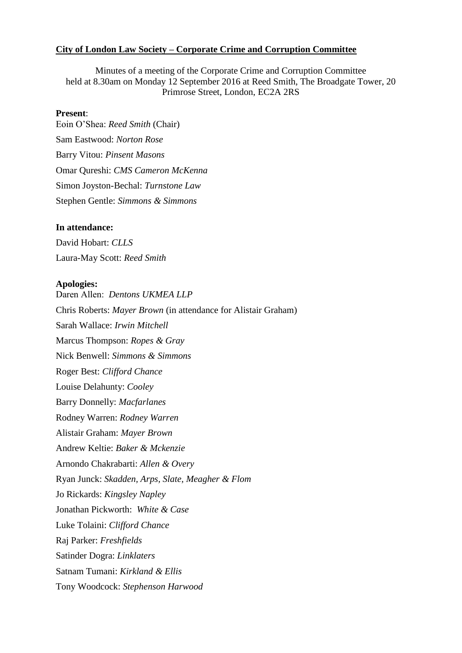### **City of London Law Society – Corporate Crime and Corruption Committee**

Minutes of a meeting of the Corporate Crime and Corruption Committee held at 8.30am on Monday 12 September 2016 at Reed Smith, The Broadgate Tower, 20 Primrose Street, London, EC2A 2RS

#### **Present**:

Eoin O'Shea: *Reed Smith* (Chair) Sam Eastwood: *Norton Rose* Barry Vitou: *Pinsent Masons* Omar Qureshi: *CMS Cameron McKenna* Simon Joyston-Bechal: *Turnstone Law*  Stephen Gentle: *Simmons & Simmons*

### **In attendance:**

David Hobart: *CLLS* Laura-May Scott: *Reed Smith*

#### **Apologies:**

Daren Allen: *Dentons UKMEA LLP* Chris Roberts: *Mayer Brown* (in attendance for Alistair Graham) Sarah Wallace: *Irwin Mitchell* Marcus Thompson: *Ropes & Gray* Nick Benwell: *Simmons & Simmons* Roger Best: *Clifford Chance* Louise Delahunty: *Cooley* Barry Donnelly: *Macfarlanes* Rodney Warren: *Rodney Warren* Alistair Graham: *Mayer Brown* Andrew Keltie: *Baker & Mckenzie* Arnondo Chakrabarti: *Allen & Overy* Ryan Junck: *Skadden, Arps, Slate, Meagher & Flom* Jo Rickards: *Kingsley Napley* Jonathan Pickworth: *White & Case* Luke Tolaini: *Clifford Chance* Raj Parker: *Freshfields* Satinder Dogra: *Linklaters* Satnam Tumani: *Kirkland & Ellis* Tony Woodcock: *Stephenson Harwood*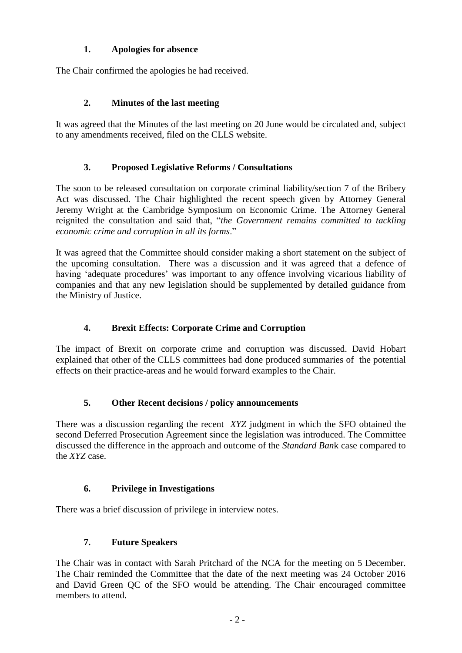## **1. Apologies for absence**

The Chair confirmed the apologies he had received.

## **2. Minutes of the last meeting**

It was agreed that the Minutes of the last meeting on 20 June would be circulated and, subject to any amendments received, filed on the CLLS website.

## **3. Proposed Legislative Reforms / Consultations**

The soon to be released consultation on corporate criminal liability/section 7 of the Bribery Act was discussed. The Chair highlighted the recent speech given by Attorney General Jeremy Wright at the Cambridge Symposium on Economic Crime. The Attorney General reignited the consultation and said that, "*the Government remains committed to tackling economic crime and corruption in all its forms*."

It was agreed that the Committee should consider making a short statement on the subject of the upcoming consultation. There was a discussion and it was agreed that a defence of having 'adequate procedures' was important to any offence involving vicarious liability of companies and that any new legislation should be supplemented by detailed guidance from the Ministry of Justice.

# **4. Brexit Effects: Corporate Crime and Corruption**

The impact of Brexit on corporate crime and corruption was discussed. David Hobart explained that other of the CLLS committees had done produced summaries of the potential effects on their practice-areas and he would forward examples to the Chair.

## **5. Other Recent decisions / policy announcements**

There was a discussion regarding the recent *XYZ* judgment in which the SFO obtained the second Deferred Prosecution Agreement since the legislation was introduced. The Committee discussed the difference in the approach and outcome of the *Standard Ban*k case compared to the *XYZ* case.

## **6. Privilege in Investigations**

There was a brief discussion of privilege in interview notes.

# **7. Future Speakers**

The Chair was in contact with Sarah Pritchard of the NCA for the meeting on 5 December. The Chair reminded the Committee that the date of the next meeting was 24 October 2016 and David Green QC of the SFO would be attending. The Chair encouraged committee members to attend.